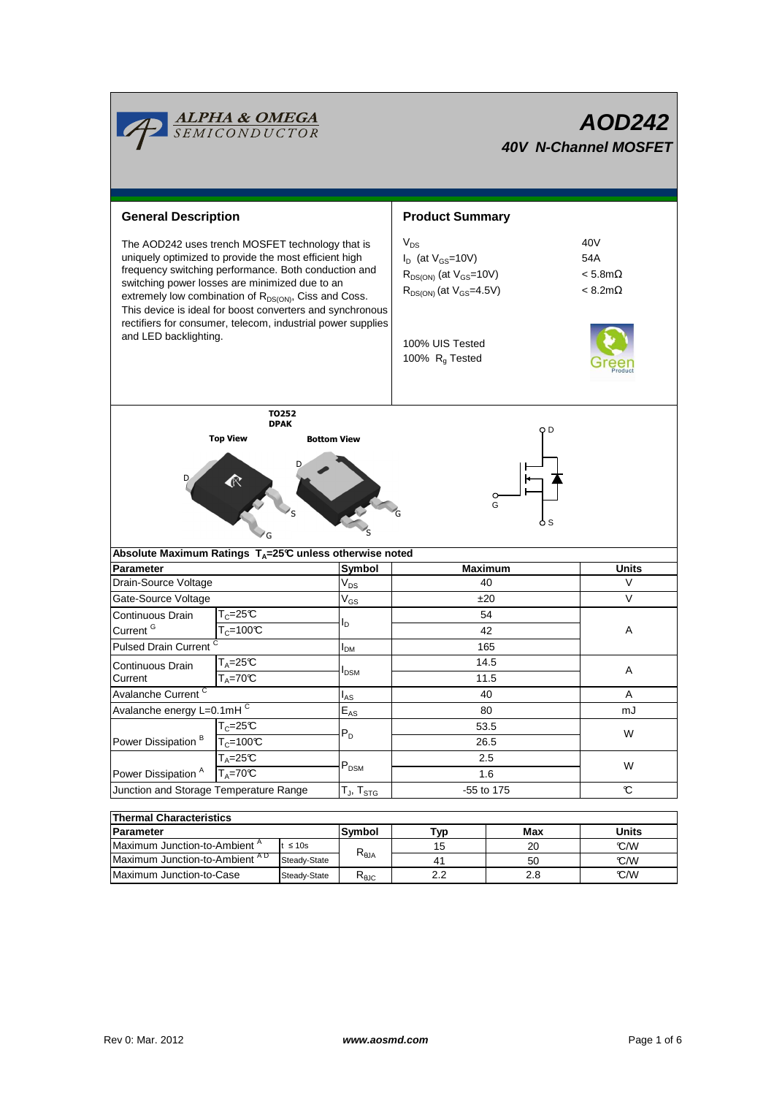

| lThermal Characteristics       |               |                                |     |     |       |  |  |  |  |
|--------------------------------|---------------|--------------------------------|-----|-----|-------|--|--|--|--|
| Parameter                      |               |                                | ™vp | Max | Units |  |  |  |  |
| Maximum Junction-to-Ambient "  | t $\leq 10$ s |                                | 15  | 20  | C/M   |  |  |  |  |
| Maximum Junction-to-Ambient AD | Steady-State  | $R_{\theta$ JA                 | 41  | 50  | C/M   |  |  |  |  |
| Maximum Junction-to-Case       | Steady-State  | $\mathsf{r}_{\theta\text{JC}}$ |     | 2.8 | C/M   |  |  |  |  |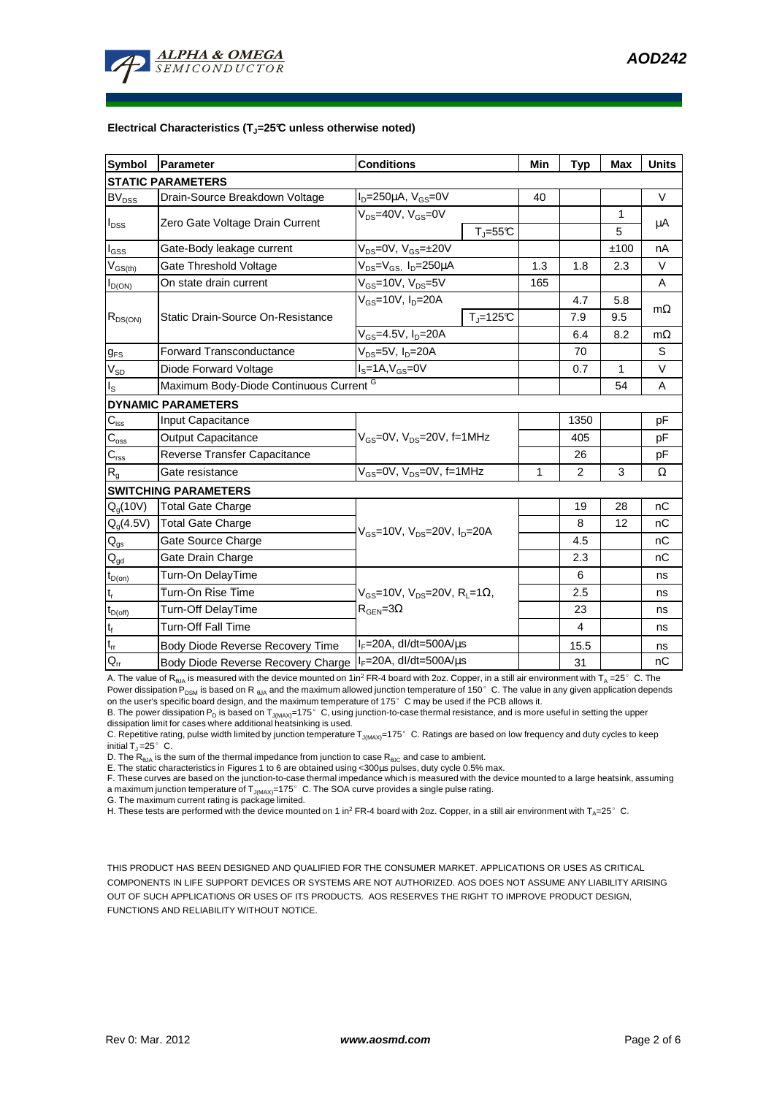

#### **Electrical Characteristics (TJ=25°C unless otherwise noted)**

| <b>Symbol</b>            | Parameter                               | <b>Conditions</b>                                                                      |                         | Min | <b>Typ</b>              | Max          | <b>Units</b> |  |  |  |
|--------------------------|-----------------------------------------|----------------------------------------------------------------------------------------|-------------------------|-----|-------------------------|--------------|--------------|--|--|--|
| <b>STATIC PARAMETERS</b> |                                         |                                                                                        |                         |     |                         |              |              |  |  |  |
| $BV_{DSS}$               | Drain-Source Breakdown Voltage          | $I_D = 250 \mu A$ , $V_{GS} = 0V$                                                      |                         | 40  |                         |              | $\vee$       |  |  |  |
| $I_{DSS}$                |                                         | $V_{DS}$ =40V, $V_{GS}$ =0V                                                            |                         |     |                         | 1            |              |  |  |  |
|                          | Zero Gate Voltage Drain Current         |                                                                                        | $T_{\parallel} = 55$ °C |     |                         | 5            | μA           |  |  |  |
| $I_{\rm GSS}$            | Gate-Body leakage current               | $V_{DS} = 0V$ , $V_{GS} = \pm 20V$                                                     |                         |     |                         | ±100         | nA           |  |  |  |
| $V_{GS(th)}$             | Gate Threshold Voltage                  | V <sub>DS</sub> =V <sub>GS</sub> , I <sub>D</sub> =250µA                               |                         | 1.3 | 1.8                     | 2.3          | $\vee$       |  |  |  |
| $I_{D(ON)}$              | On state drain current                  | $V_{GS}$ =10V, $V_{DS}$ =5V                                                            |                         | 165 |                         |              | A            |  |  |  |
| $R_{DS(ON)}$             | Static Drain-Source On-Resistance       | $V_{GS}$ =10V, I <sub>D</sub> =20A                                                     |                         |     | 4.7                     | 5.8          |              |  |  |  |
|                          |                                         |                                                                                        | $TJ=125C$               |     | 7.9                     | 9.5          | $m\Omega$    |  |  |  |
|                          |                                         | $V_{GS}$ =4.5V, $I_D$ =20A                                                             |                         |     | 6.4                     | 8.2          | $m\Omega$    |  |  |  |
| $g_{FS}$                 | <b>Forward Transconductance</b>         | $V_{DS}$ =5V, $I_D$ =20A                                                               |                         |     | 70                      |              | S            |  |  |  |
| $V_{SD}$                 | Diode Forward Voltage                   | $IS=1A, VGS=0V$                                                                        |                         |     | 0.7                     | $\mathbf{1}$ | $\vee$       |  |  |  |
| ı <sub>s</sub>           | Maximum Body-Diode Continuous Current G |                                                                                        |                         |     |                         | 54           | A            |  |  |  |
|                          | <b>DYNAMIC PARAMETERS</b>               |                                                                                        |                         |     |                         |              |              |  |  |  |
| $C_{iss}$                | Input Capacitance                       | $V_{GS}$ =0V, $V_{DS}$ =20V, f=1MHz                                                    |                         |     | 1350                    |              | pF           |  |  |  |
| $C_{\rm oss}$            | <b>Output Capacitance</b>               |                                                                                        |                         |     | 405                     |              | pF           |  |  |  |
| $C_{\rm rss}$            | Reverse Transfer Capacitance            |                                                                                        |                         |     | 26                      |              | pF           |  |  |  |
| R <sub>g</sub>           | Gate resistance                         | $V_{GS}$ =0V, $V_{DS}$ =0V, f=1MHz                                                     |                         | 1   | 2                       | 3            | Ω            |  |  |  |
|                          | <b>SWITCHING PARAMETERS</b>             |                                                                                        |                         |     |                         |              |              |  |  |  |
| $Q_q(10V)$               | Total Gate Charge                       | $V_{\rm GS}$ =10V, $V_{\rm DS}$ =20V, I <sub>D</sub> =20A                              |                         |     | 19                      | 28           | nC           |  |  |  |
| $Q_g(4.5V)$              | <b>Total Gate Charge</b>                |                                                                                        |                         |     | 8                       | 12           | nC           |  |  |  |
| $Q_{gs}$                 | Gate Source Charge                      |                                                                                        |                         |     | 4.5                     |              | nC           |  |  |  |
| $\mathsf{Q}_{\text{gd}}$ | Gate Drain Charge                       |                                                                                        |                         |     | 2.3                     |              | nC           |  |  |  |
| $t_{D(on)}$              | Turn-On DelayTime                       | $V_{GS}$ =10V, V <sub>DS</sub> =20V, R <sub>L</sub> =1Ω,<br>$R_{\text{GEN}} = 3\Omega$ |                         |     | 6                       |              | ns           |  |  |  |
| $t_r$                    | Turn-On Rise Time                       |                                                                                        |                         |     | 2.5                     |              | ns           |  |  |  |
| $t_{D(off)}$             | Turn-Off DelayTime                      |                                                                                        |                         |     | 23                      |              | ns           |  |  |  |
| $t_f$                    | <b>Turn-Off Fall Time</b>               |                                                                                        |                         |     | $\overline{\mathbf{4}}$ |              | ns           |  |  |  |
| $t_{rr}$                 | Body Diode Reverse Recovery Time        | $I_F = 20A$ , dl/dt=500A/ $\mu$ s                                                      |                         |     | 15.5                    |              | ns           |  |  |  |
| $Q_{rr}$                 | Body Diode Reverse Recovery Charge      | $I_F = 20A$ , dl/dt=500A/ $\mu$ s                                                      |                         |     | 31                      |              | nC           |  |  |  |

A. The value of R<sub>BJA</sub> is measured with the device mounted on 1in<sup>2</sup> FR-4 board with 2oz. Copper, in a still air environment with T<sub>A</sub> =25°C. The Power dissipation P<sub>DSM</sub> is based on R <sub>θJA</sub> and the maximum allowed junction temperature of 150°C. The value in any given application depends

on the user's specific board design, and the maximum temperature of 175°C may be used if the PCB allows it. B. The power dissipation P<sub>D</sub> is based on T<sub>J(MAX)</sub>=175°C, using junction-to-case thermal resistance, and is more useful in setting the upper<br>dissipation limit for cases where additional heatsinking is used.

C. Repetitive rating, pulse width limited by junction temperature T<sub>J(MAX)</sub>=175°C. Ratings are based on low frequency and duty cycles to keep initial  $T_1 = 25^\circ$  C.

D. The  $R_{AIA}$  is the sum of the thermal impedance from junction to case  $R_{AIC}$  and case to ambient.

E. The static characteristics in Figures 1 to 6 are obtained using <300us pulses, duty cycle 0.5% max.

F. These curves are based on the junction-to-case thermal impedance which is measured with the device mounted to a large heatsink, assuming a maximum junction temperature of  $T_{J(MAX)}$ =175° C. The SOA curve provides a single pulse rating.

G. The maximum current rating is package limited.

H. These tests are performed with the device mounted on 1 in<sup>2</sup> FR-4 board with 2oz. Copper, in a still air environment with T<sub>A</sub>=25°C.

THIS PRODUCT HAS BEEN DESIGNED AND QUALIFIED FOR THE CONSUMER MARKET. APPLICATIONS OR USES AS CRITICAL COMPONENTS IN LIFE SUPPORT DEVICES OR SYSTEMS ARE NOT AUTHORIZED. AOS DOES NOT ASSUME ANY LIABILITY ARISING OUT OF SUCH APPLICATIONS OR USES OF ITS PRODUCTS. AOS RESERVES THE RIGHT TO IMPROVE PRODUCT DESIGN, FUNCTIONS AND RELIABILITY WITHOUT NOTICE.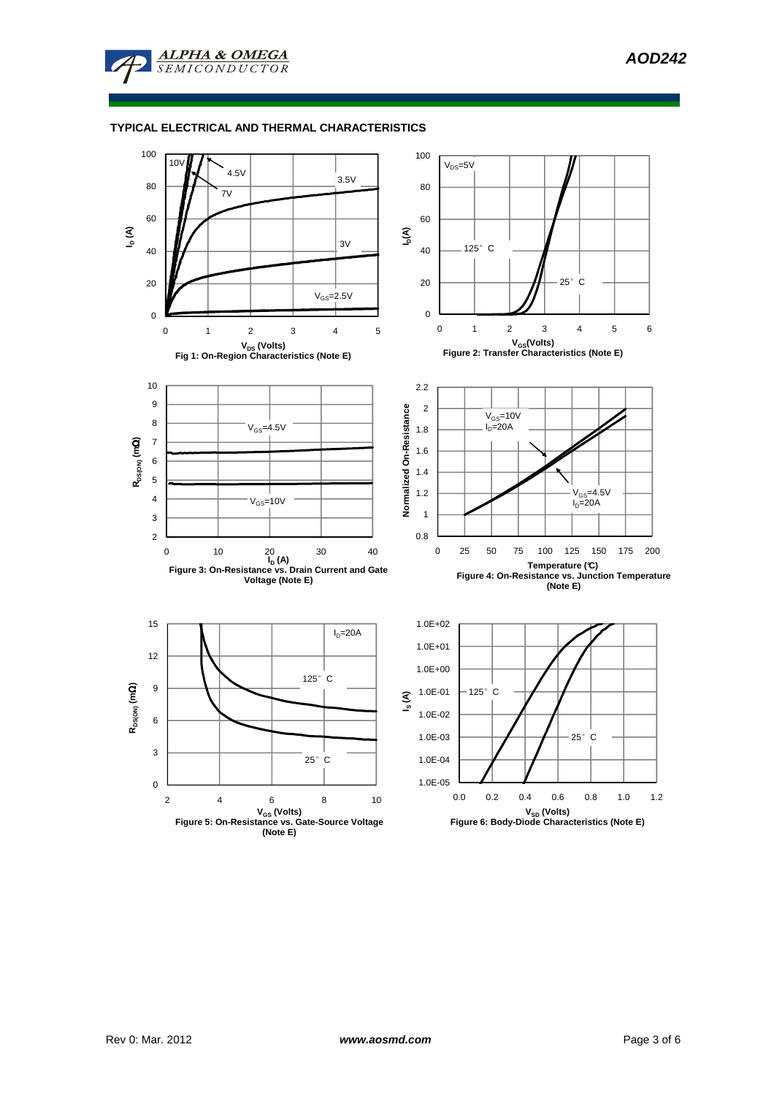

### **TYPICAL ELECTRICAL AND THERMAL CHARACTERISTICS**

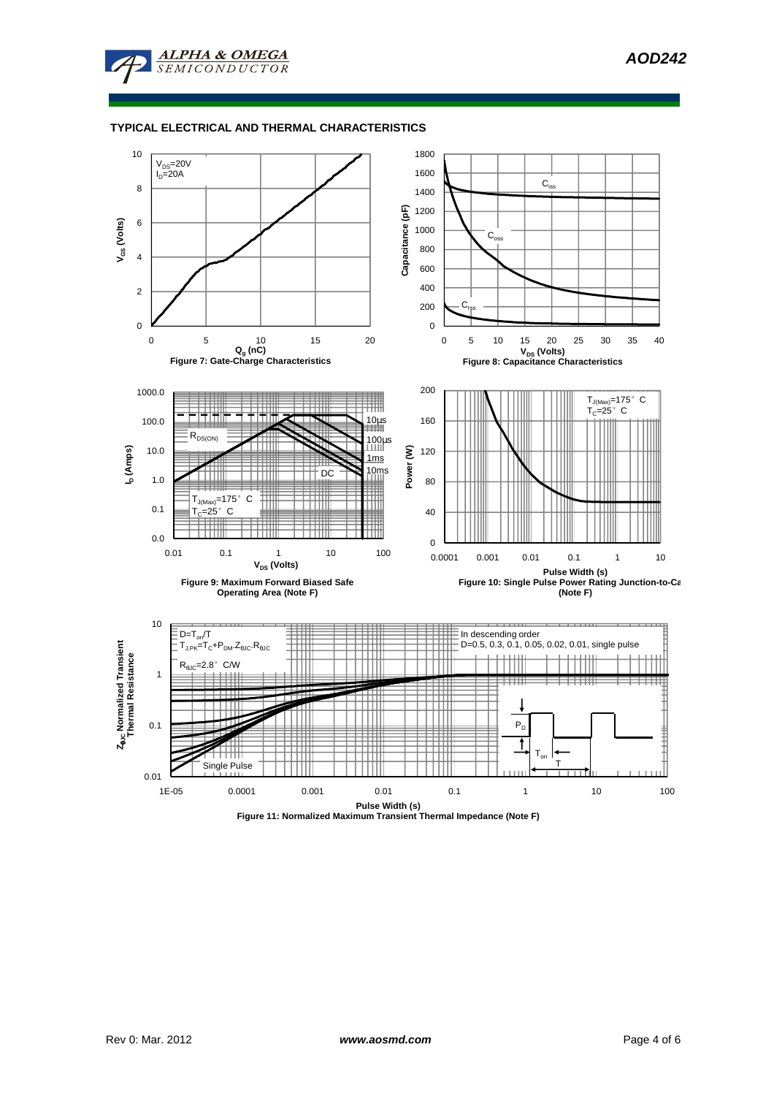

# **TYPICAL ELECTRICAL AND THERMAL CHARACTERISTICS**



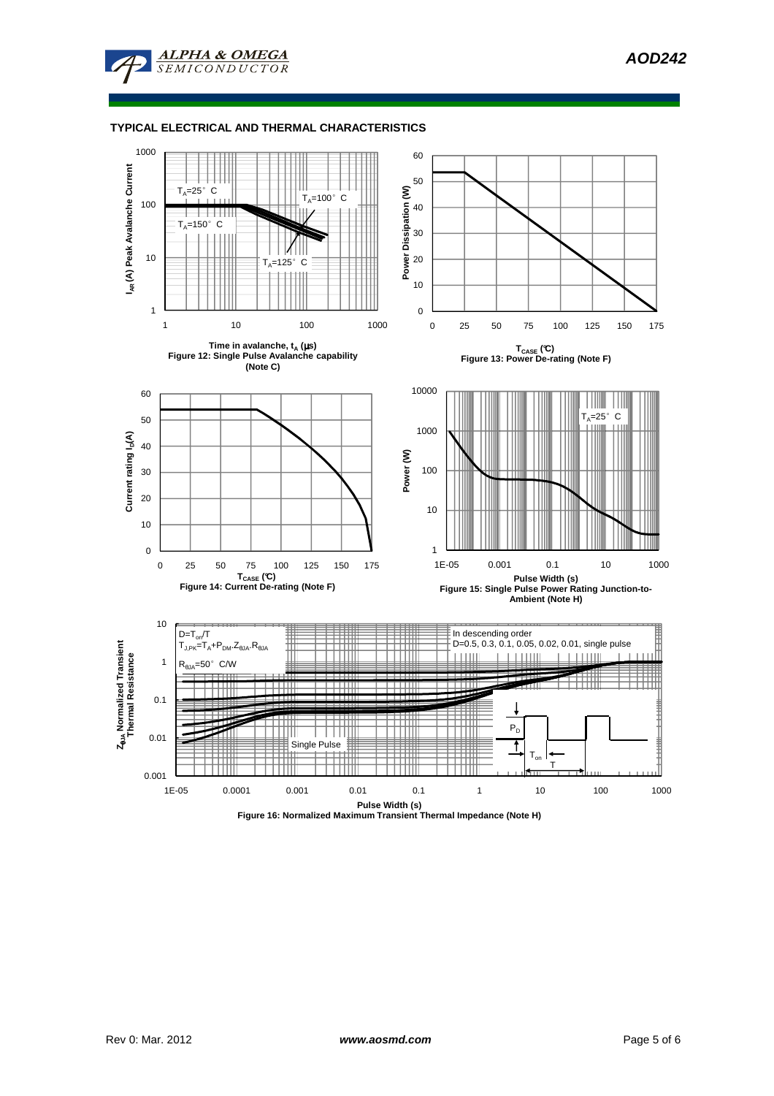

### **TYPICAL ELECTRICAL AND THERMAL CHARACTERISTICS**